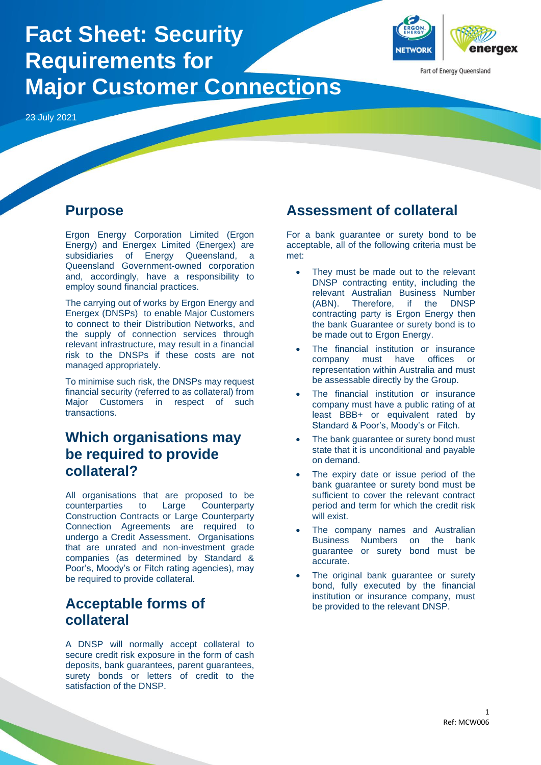

Energy) and Energex Limited (Energex) are subsidiaries of Energy Queensland, a Queensland Government-owned corporation and, accordingly, have a responsibility to employ sound financial practices.

The carrying out of works by Ergon Energy and Energex (DNSPs) to enable Major Customers to connect to their Distribution Networks, and the supply of connection services through relevant infrastructure, may result in a financial risk to the DNSPs if these costs are not managed appropriately.

To minimise such risk, the DNSPs may request financial security (referred to as collateral) from Major Customers in respect of such transactions.

## **Which organisations may be required to provide collateral?**

All organisations that are proposed to be counterparties to Large Counterparty Construction Contracts or Large Counterparty Connection Agreements are required to undergo a Credit Assessment. Organisations that are unrated and non-investment grade companies (as determined by Standard & Poor's, Moody's or Fitch rating agencies), may be required to provide collateral.

## **Acceptable forms of collateral**

A DNSP will normally accept collateral to secure credit risk exposure in the form of cash deposits, bank guarantees, parent guarantees, surety bonds or letters of credit to the satisfaction of the DNSP.

met:

- They must be made out to the relevant DNSP contracting entity, including the relevant Australian Business Number (ABN). Therefore, if the DNSP contracting party is Ergon Energy then the bank Guarantee or surety bond is to be made out to Ergon Energy.
- The financial institution or insurance company must have offices or representation within Australia and must be assessable directly by the Group.
- The financial institution or insurance company must have a public rating of at least BBB+ or equivalent rated by Standard & Poor's, Moody's or Fitch.
- The bank guarantee or surety bond must state that it is unconditional and payable on demand.
- The expiry date or issue period of the bank guarantee or surety bond must be sufficient to cover the relevant contract period and term for which the credit risk will exist.
- The company names and Australian Business Numbers on the bank guarantee or surety bond must be accurate.
- The original bank guarantee or surety bond, fully executed by the financial institution or insurance company, must be provided to the relevant DNSP.



Part of Energy Queensland

# **Fact Sheet: Security Requirements for Major Customer Connections**

23 July 2021